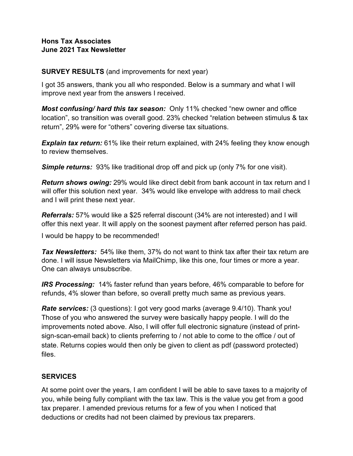#### **Hons Tax Associates June 2021 Tax Newsletter**

#### **SURVEY RESULTS** (and improvements for next year)

I got 35 answers, thank you all who responded. Below is a summary and what I will improve next year from the answers I received.

*Most confusing/ hard this tax season:* Only 11% checked "new owner and office location", so transition was overall good. 23% checked "relation between stimulus & tax return", 29% were for "others" covering diverse tax situations.

**Explain tax return:** 61% like their return explained, with 24% feeling they know enough to review themselves.

**Simple returns:** 93% like traditional drop off and pick up (only 7% for one visit).

*Return shows owing:* 29% would like direct debit from bank account in tax return and I will offer this solution next year. 34% would like envelope with address to mail check and I will print these next year.

*Referrals:* 57% would like a \$25 referral discount (34% are not interested) and I will offer this next year. It will apply on the soonest payment after referred person has paid.

I would be happy to be recommended!

*Tax Newsletters:* 54% like them, 37% do not want to think tax after their tax return are done. I will issue Newsletters via MailChimp, like this one, four times or more a year. One can always unsubscribe.

*IRS Processing:* 14% faster refund than years before, 46% comparable to before for refunds, 4% slower than before, so overall pretty much same as previous years.

*Rate services:* (3 questions): I got very good marks (average 9.4/10). Thank you! Those of you who answered the survey were basically happy people. I will do the improvements noted above. Also, I will offer full electronic signature (instead of printsign-scan-email back) to clients preferring to / not able to come to the office / out of state. Returns copies would then only be given to client as pdf (password protected) files.

### **SERVICES**

At some point over the years, I am confident I will be able to save taxes to a majority of you, while being fully compliant with the tax law. This is the value you get from a good tax preparer. I amended previous returns for a few of you when I noticed that deductions or credits had not been claimed by previous tax preparers.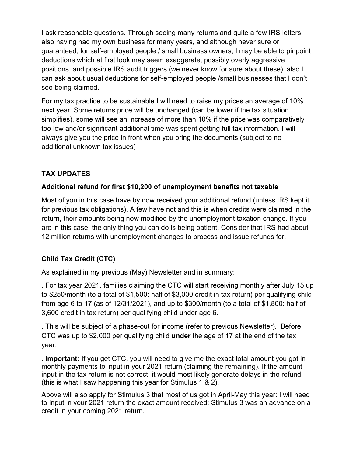I ask reasonable questions. Through seeing many returns and quite a few IRS letters, also having had my own business for many years, and although never sure or guaranteed, for self-employed people / small business owners, I may be able to pinpoint deductions which at first look may seem exaggerate, possibly overly aggressive positions, and possible IRS audit triggers (we never know for sure about these), also I can ask about usual deductions for self-employed people /small businesses that I don't see being claimed.

For my tax practice to be sustainable I will need to raise my prices an average of 10% next year. Some returns price will be unchanged (can be lower if the tax situation simplifies), some will see an increase of more than 10% if the price was comparatively too low and/or significant additional time was spent getting full tax information. I will always give you the price in front when you bring the documents (subject to no additional unknown tax issues)

# **TAX UPDATES**

## **Additional refund for first \$10,200 of unemployment benefits not taxable**

Most of you in this case have by now received your additional refund (unless IRS kept it for previous tax obligations). A few have not and this is when credits were claimed in the return, their amounts being now modified by the unemployment taxation change. If you are in this case, the only thing you can do is being patient. Consider that IRS had about 12 million returns with unemployment changes to process and issue refunds for.

# **Child Tax Credit (CTC)**

As explained in my previous (May) Newsletter and in summary:

. For tax year 2021, families claiming the CTC will start receiving monthly after July 15 up to \$250/month (to a total of \$1,500: half of \$3,000 credit in tax return) per qualifying child from age 6 to 17 (as of 12/31/2021), and up to \$300/month (to a total of \$1,800: half of 3,600 credit in tax return) per qualifying child under age 6.

. This will be subject of a phase-out for income (refer to previous Newsletter). Before, CTC was up to \$2,000 per qualifying child **under** the age of 17 at the end of the tax year.

**. Important:** If you get CTC, you will need to give me the exact total amount you got in monthly payments to input in your 2021 return (claiming the remaining). If the amount input in the tax return is not correct, it would most likely generate delays in the refund (this is what I saw happening this year for Stimulus 1 & 2).

Above will also apply for Stimulus 3 that most of us got in April-May this year: I will need to input in your 2021 return the exact amount received: Stimulus 3 was an advance on a credit in your coming 2021 return.